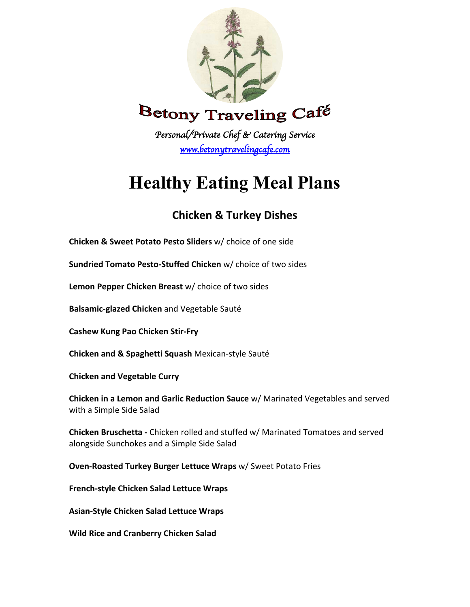

*Personal/Private Chef & Catering Service www.betonytravelingcafe.com* 

# **Healthy Eating Meal Plans**

## **Chicken & Turkey Dishes**

**Chicken & Sweet Potato Pesto Sliders** w/ choice of one side

**Sundried Tomato Pesto-Stuffed Chicken** w/ choice of two sides

**Lemon Pepper Chicken Breast** w/ choice of two sides

**Balsamic-glazed Chicken** and Vegetable Sauté

**Cashew Kung Pao Chicken Stir-Fry**

**Chicken and & Spaghetti Squash** Mexican-style Sauté

**Chicken and Vegetable Curry**

**Chicken in a Lemon and Garlic Reduction Sauce** w/ Marinated Vegetables and served with a Simple Side Salad

**Chicken Bruschetta -** Chicken rolled and stuffed w/ Marinated Tomatoes and served alongside Sunchokes and a Simple Side Salad

**Oven-Roasted Turkey Burger Lettuce Wraps** w/ Sweet Potato Fries

**French-style Chicken Salad Lettuce Wraps** 

**Asian-Style Chicken Salad Lettuce Wraps**

**Wild Rice and Cranberry Chicken Salad**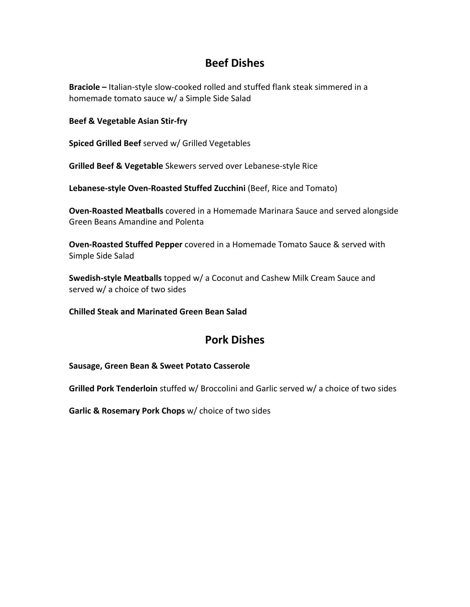### **Beef Dishes**

**Braciole –** Italian-style slow-cooked rolled and stuffed flank steak simmered in a homemade tomato sauce w/ a Simple Side Salad

#### **Beef & Vegetable Asian Stir-fry**

**Spiced Grilled Beef** served w/ Grilled Vegetables

**Grilled Beef & Vegetable** Skewers served over Lebanese-style Rice

**Lebanese-style Oven-Roasted Stuffed Zucchini** (Beef, Rice and Tomato)

**Oven-Roasted Meatballs** covered in a Homemade Marinara Sauce and served alongside Green Beans Amandine and Polenta

**Oven-Roasted Stuffed Pepper** covered in a Homemade Tomato Sauce & served with Simple Side Salad

**Swedish-style Meatballs** topped w/ a Coconut and Cashew Milk Cream Sauce and served w/ a choice of two sides

**Chilled Steak and Marinated Green Bean Salad**

### **Pork Dishes**

**Sausage, Green Bean & Sweet Potato Casserole**

**Grilled Pork Tenderloin** stuffed w/ Broccolini and Garlic served w/ a choice of two sides

**Garlic & Rosemary Pork Chops** w/ choice of two sides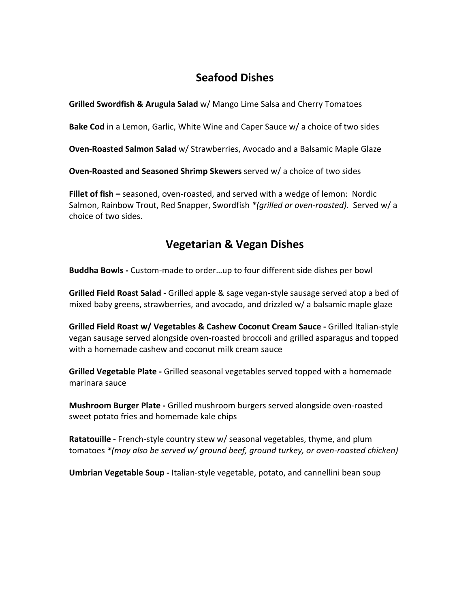### **Seafood Dishes**

**Grilled Swordfish & Arugula Salad** w/ Mango Lime Salsa and Cherry Tomatoes

**Bake Cod** in a Lemon, Garlic, White Wine and Caper Sauce w/ a choice of two sides

**Oven-Roasted Salmon Salad** w/ Strawberries, Avocado and a Balsamic Maple Glaze

**Oven-Roasted and Seasoned Shrimp Skewers** served w/ a choice of two sides

**Fillet of fish –** seasoned, oven-roasted, and served with a wedge of lemon: Nordic Salmon, Rainbow Trout, Red Snapper, Swordfish *\*(grilled or oven-roasted).* Served w/ a choice of two sides.

### **Vegetarian & Vegan Dishes**

**Buddha Bowls -** Custom-made to order…up to four different side dishes per bowl

**Grilled Field Roast Salad -** Grilled apple & sage vegan-style sausage served atop a bed of mixed baby greens, strawberries, and avocado, and drizzled w/ a balsamic maple glaze

**Grilled Field Roast w/ Vegetables & Cashew Coconut Cream Sauce -** Grilled Italian-style vegan sausage served alongside oven-roasted broccoli and grilled asparagus and topped with a homemade cashew and coconut milk cream sauce

**Grilled Vegetable Plate -** Grilled seasonal vegetables served topped with a homemade marinara sauce

**Mushroom Burger Plate -** Grilled mushroom burgers served alongside oven-roasted sweet potato fries and homemade kale chips

**Ratatouille -** French-style country stew w/ seasonal vegetables, thyme, and plum tomatoes *\*(may also be served w/ ground beef, ground turkey, or oven-roasted chicken)*

**Umbrian Vegetable Soup -** Italian-style vegetable, potato, and cannellini bean soup